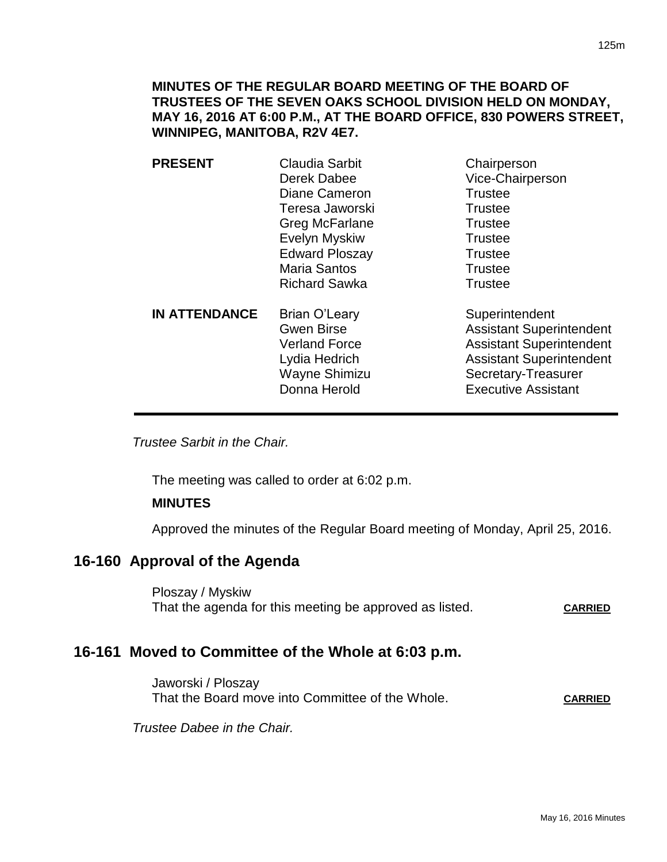125m

# **MINUTES OF THE REGULAR BOARD MEETING OF THE BOARD OF TRUSTEES OF THE SEVEN OAKS SCHOOL DIVISION HELD ON MONDAY, MAY 16, 2016 AT 6:00 P.M., AT THE BOARD OFFICE, 830 POWERS STREET, WINNIPEG, MANITOBA, R2V 4E7.**

**PRESENT** Claudia Sarbit Chairperson Derek Dabee Vice-Chairperson Diane Cameron Trustee Teresa Jaworski **Trustee** Greg McFarlane Trustee Evelyn Myskiw **Trustee** Edward Ploszay **Trustee** Maria Santos **Trustee** Richard Sawka Trustee **IN ATTENDANCE** Brian O'Leary Superintendent Gwen Birse **Assistant Superintendent** Verland Force Assistant Superintendent Lydia Hedrich **Assistant Superintendent** Wayne Shimizu Secretary-Treasurer Donna Herold **Executive Assistant** 

*Trustee Sarbit in the Chair.* 

The meeting was called to order at 6:02 p.m.

# **MINUTES**

Approved the minutes of the Regular Board meeting of Monday, April 25, 2016.

# **16-160 Approval of the Agenda**

Ploszay / Myskiw That the agenda for this meeting be approved as listed. CARRIED

# **16-161 Moved to Committee of the Whole at 6:03 p.m.**

Jaworski / Ploszay That the Board move into Committee of the Whole. CARRIED

*Trustee Dabee in the Chair.*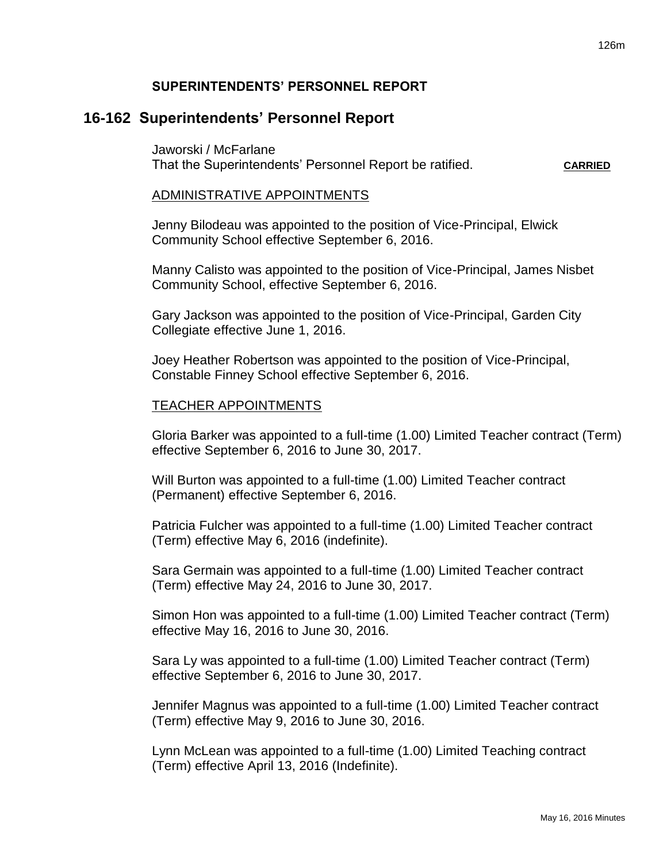# **16-162 Superintendents' Personnel Report**

Jaworski / McFarlane That the Superintendents' Personnel Report be ratified. **CARRIED**

#### ADMINISTRATIVE APPOINTMENTS

Jenny Bilodeau was appointed to the position of Vice-Principal, Elwick Community School effective September 6, 2016.

Manny Calisto was appointed to the position of Vice-Principal, James Nisbet Community School, effective September 6, 2016.

Gary Jackson was appointed to the position of Vice-Principal, Garden City Collegiate effective June 1, 2016.

Joey Heather Robertson was appointed to the position of Vice-Principal, Constable Finney School effective September 6, 2016.

### TEACHER APPOINTMENTS

Gloria Barker was appointed to a full-time (1.00) Limited Teacher contract (Term) effective September 6, 2016 to June 30, 2017.

Will Burton was appointed to a full-time (1.00) Limited Teacher contract (Permanent) effective September 6, 2016.

Patricia Fulcher was appointed to a full-time (1.00) Limited Teacher contract (Term) effective May 6, 2016 (indefinite).

Sara Germain was appointed to a full-time (1.00) Limited Teacher contract (Term) effective May 24, 2016 to June 30, 2017.

Simon Hon was appointed to a full-time (1.00) Limited Teacher contract (Term) effective May 16, 2016 to June 30, 2016.

Sara Ly was appointed to a full-time (1.00) Limited Teacher contract (Term) effective September 6, 2016 to June 30, 2017.

Jennifer Magnus was appointed to a full-time (1.00) Limited Teacher contract (Term) effective May 9, 2016 to June 30, 2016.

Lynn McLean was appointed to a full-time (1.00) Limited Teaching contract (Term) effective April 13, 2016 (Indefinite).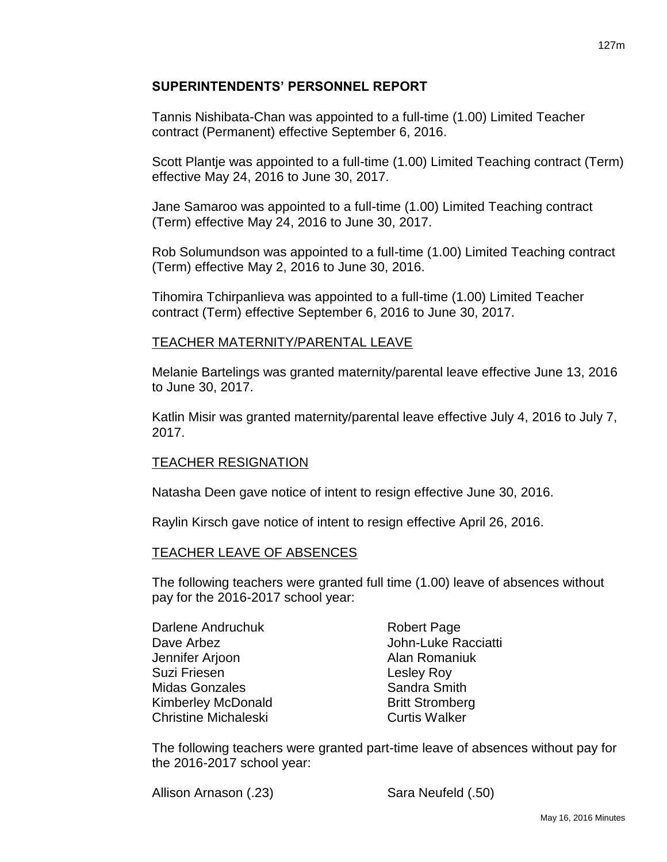Tannis Nishibata-Chan was appointed to a full-time (1.00) Limited Teacher contract (Permanent) effective September 6, 2016.

Scott Plantje was appointed to a full-time (1.00) Limited Teaching contract (Term) effective May 24, 2016 to June 30, 2017.

Jane Samaroo was appointed to a full-time (1.00) Limited Teaching contract (Term) effective May 24, 2016 to June 30, 2017.

Rob Solumundson was appointed to a full-time (1.00) Limited Teaching contract (Term) effective May 2, 2016 to June 30, 2016.

Tihomira Tchirpanlieva was appointed to a full-time (1.00) Limited Teacher contract (Term) effective September 6, 2016 to June 30, 2017.

# TEACHER MATERNITY/PARENTAL LEAVE

Melanie Bartelings was granted maternity/parental leave effective June 13, 2016 to June 30, 2017.

Katlin Misir was granted maternity/parental leave effective July 4, 2016 to July 7, 2017.

# TEACHER RESIGNATION

Natasha Deen gave notice of intent to resign effective June 30, 2016.

Raylin Kirsch gave notice of intent to resign effective April 26, 2016.

# TEACHER LEAVE OF ABSENCES

The following teachers were granted full time (1.00) leave of absences without pay for the 2016-2017 school year:

| Darlene Andruchuk           | <b>Robert Page</b>     |
|-----------------------------|------------------------|
| Dave Arbez                  | John-Luke Racciatti    |
| Jennifer Arjoon             | Alan Romaniuk          |
| Suzi Friesen                | Lesley Roy             |
| Midas Gonzales              | Sandra Smith           |
| <b>Kimberley McDonald</b>   | <b>Britt Stromberg</b> |
| <b>Christine Michaleski</b> | <b>Curtis Walker</b>   |

The following teachers were granted part-time leave of absences without pay for the 2016-2017 school year:

Allison Arnason (.23) Sara Neufeld (.50)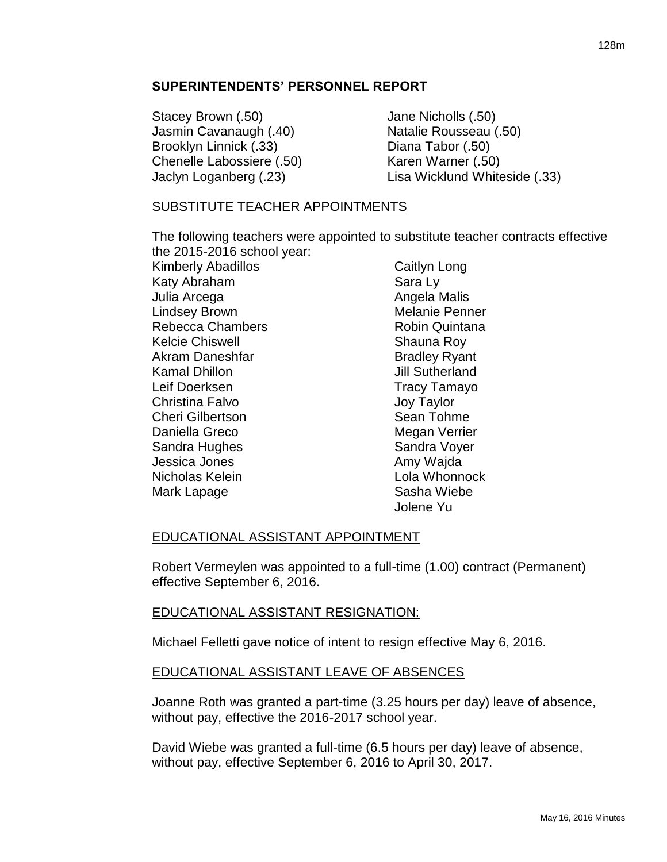Stacey Brown (.50) Jane Nicholls (.50) Jasmin Cavanaugh (.40) Natalie Rousseau (.50) Brooklyn Linnick (.33) Diana Tabor (.50) Chenelle Labossiere (.50) Karen Warner (.50)

Jaclyn Loganberg (.23) Lisa Wicklund Whiteside (.33)

# SUBSTITUTE TEACHER APPOINTMENTS

The following teachers were appointed to substitute teacher contracts effective the 2015-2016 school year:

Kimberly Abadillos Katy Abraham Julia Arcega Lindsey Brown Rebecca Chambers Kelcie Chiswell Akram Daneshfar Kamal Dhillon Leif Doerksen Christina Falvo Cheri Gilbertson Daniella Greco Sandra Hughes Jessica Jones Nicholas Kelein Mark Lapage

Caitlyn Long Sara Ly Angela Malis Melanie Penner Robin Quintana Shauna Roy Bradley Ryant Jill Sutherland Tracy Tamayo Joy Taylor Sean Tohme Megan Verrier Sandra Voyer Amy Wajda Lola Whonnock Sasha Wiebe Jolene Yu

# EDUCATIONAL ASSISTANT APPOINTMENT

Robert Vermeylen was appointed to a full-time (1.00) contract (Permanent) effective September 6, 2016.

## EDUCATIONAL ASSISTANT RESIGNATION:

Michael Felletti gave notice of intent to resign effective May 6, 2016.

# EDUCATIONAL ASSISTANT LEAVE OF ABSENCES

Joanne Roth was granted a part-time (3.25 hours per day) leave of absence, without pay, effective the 2016-2017 school year.

David Wiebe was granted a full-time (6.5 hours per day) leave of absence, without pay, effective September 6, 2016 to April 30, 2017.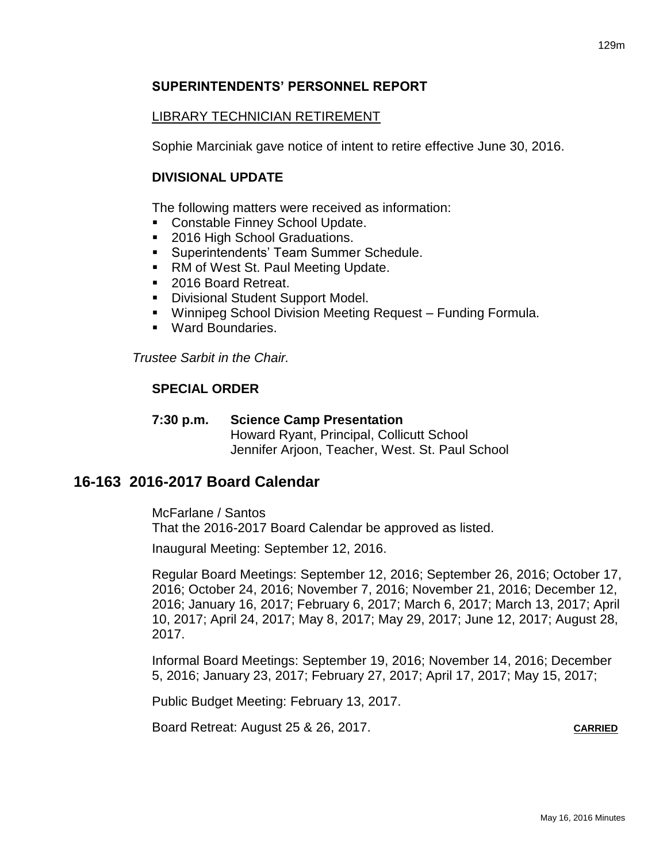# LIBRARY TECHNICIAN RETIREMENT

Sophie Marciniak gave notice of intent to retire effective June 30, 2016.

# **DIVISIONAL UPDATE**

The following matters were received as information:

- **Constable Finney School Update.**
- 2016 High School Graduations.
- **Superintendents' Team Summer Schedule.**
- RM of West St. Paul Meeting Update.
- 2016 Board Retreat.
- **-** Divisional Student Support Model.
- Winnipeg School Division Meeting Request Funding Formula.
- Ward Boundaries.

*Trustee Sarbit in the Chair.*

# **SPECIAL ORDER**

## **7:30 p.m. Science Camp Presentation** Howard Ryant, Principal, Collicutt School Jennifer Arjoon, Teacher, West. St. Paul School

# **16-163 2016-2017 Board Calendar**

McFarlane / Santos That the 2016-2017 Board Calendar be approved as listed.

Inaugural Meeting: September 12, 2016.

Regular Board Meetings: September 12, 2016; September 26, 2016; October 17, 2016; October 24, 2016; November 7, 2016; November 21, 2016; December 12, 2016; January 16, 2017; February 6, 2017; March 6, 2017; March 13, 2017; April 10, 2017; April 24, 2017; May 8, 2017; May 29, 2017; June 12, 2017; August 28, 2017.

Informal Board Meetings: September 19, 2016; November 14, 2016; December 5, 2016; January 23, 2017; February 27, 2017; April 17, 2017; May 15, 2017;

Public Budget Meeting: February 13, 2017.

Board Retreat: August 25 & 26, 2017.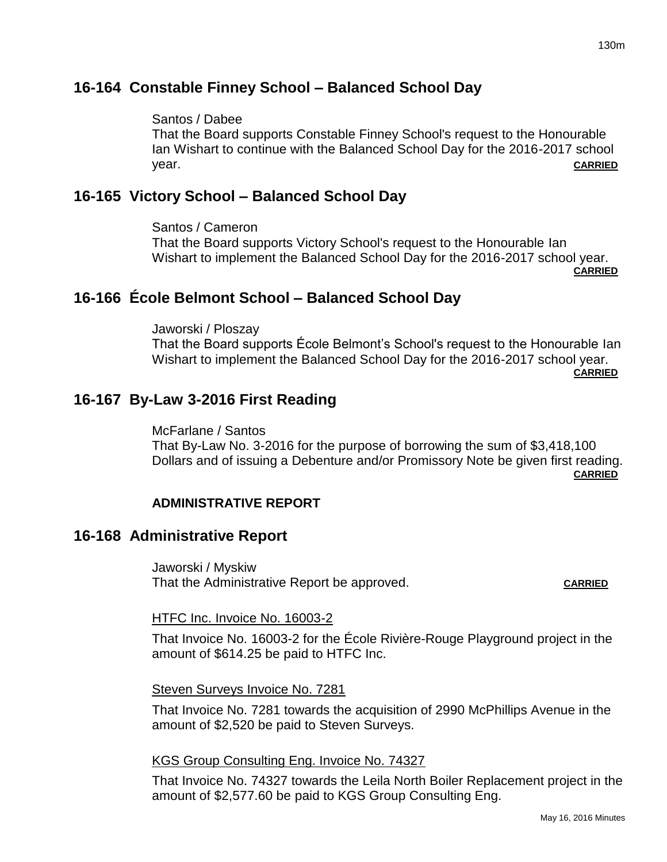# **16-164 Constable Finney School – Balanced School Day**

# Santos / Dabee

That the Board supports Constable Finney School's request to the Honourable Ian Wishart to continue with the Balanced School Day for the 2016-2017 school year. **CARRIED**

# **16-165 Victory School – Balanced School Day**

Santos / Cameron That the Board supports Victory School's request to the Honourable Ian Wishart to implement the Balanced School Day for the 2016-2017 school year.

**CARRIED**

# **16-166 École Belmont School – Balanced School Day**

Jaworski / Ploszay That the Board supports École Belmont's School's request to the Honourable Ian Wishart to implement the Balanced School Day for the 2016-2017 school year. **CARRIED**

# **16-167 By-Law 3-2016 First Reading**

McFarlane / Santos That By-Law No. 3-2016 for the purpose of borrowing the sum of \$3,418,100 Dollars and of issuing a Debenture and/or Promissory Note be given first reading. **CARRIED**

# **ADMINISTRATIVE REPORT**

# **16-168 Administrative Report**

Jaworski / Myskiw That the Administrative Report be approved. **CARRIED**

## HTFC Inc. Invoice No. 16003-2

That Invoice No. 16003-2 for the École Rivière-Rouge Playground project in the amount of \$614.25 be paid to HTFC Inc.

## Steven Surveys Invoice No. 7281

That Invoice No. 7281 towards the acquisition of 2990 McPhillips Avenue in the amount of \$2,520 be paid to Steven Surveys.

## KGS Group Consulting Eng. Invoice No. 74327

That Invoice No. 74327 towards the Leila North Boiler Replacement project in the amount of \$2,577.60 be paid to KGS Group Consulting Eng.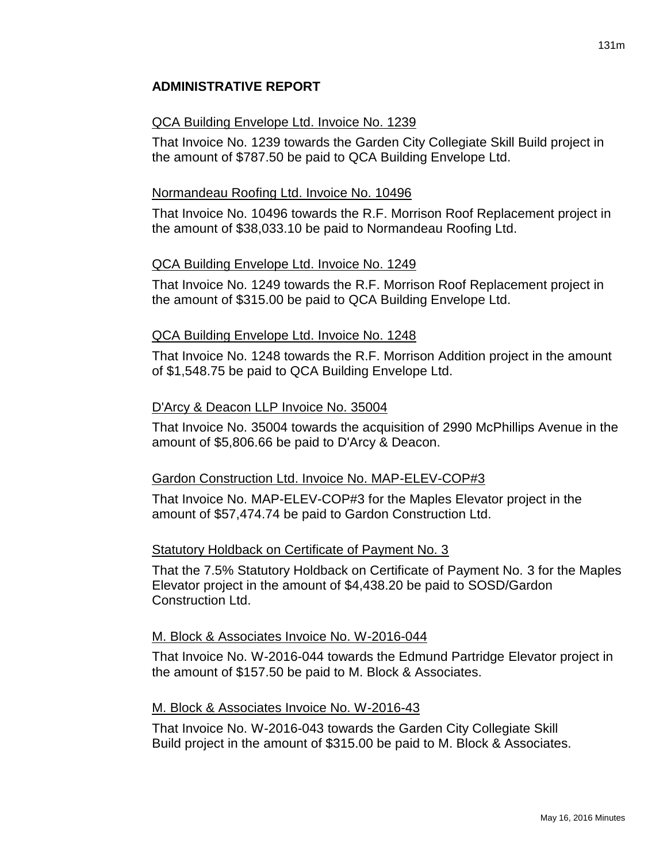# QCA Building Envelope Ltd. Invoice No. 1239

That Invoice No. 1239 towards the Garden City Collegiate Skill Build project in the amount of \$787.50 be paid to QCA Building Envelope Ltd.

# Normandeau Roofing Ltd. Invoice No. 10496

That Invoice No. 10496 towards the R.F. Morrison Roof Replacement project in the amount of \$38,033.10 be paid to Normandeau Roofing Ltd.

# QCA Building Envelope Ltd. Invoice No. 1249

That Invoice No. 1249 towards the R.F. Morrison Roof Replacement project in the amount of \$315.00 be paid to QCA Building Envelope Ltd.

# QCA Building Envelope Ltd. Invoice No. 1248

That Invoice No. 1248 towards the R.F. Morrison Addition project in the amount of \$1,548.75 be paid to QCA Building Envelope Ltd.

# D'Arcy & Deacon LLP Invoice No. 35004

That Invoice No. 35004 towards the acquisition of 2990 McPhillips Avenue in the amount of \$5,806.66 be paid to D'Arcy & Deacon.

# Gardon Construction Ltd. Invoice No. MAP-ELEV-COP#3

That Invoice No. MAP-ELEV-COP#3 for the Maples Elevator project in the amount of \$57,474.74 be paid to Gardon Construction Ltd.

# Statutory Holdback on Certificate of Payment No. 3

That the 7.5% Statutory Holdback on Certificate of Payment No. 3 for the Maples Elevator project in the amount of \$4,438.20 be paid to SOSD/Gardon Construction Ltd.

# M. Block & Associates Invoice No. W-2016-044

That Invoice No. W-2016-044 towards the Edmund Partridge Elevator project in the amount of \$157.50 be paid to M. Block & Associates.

# M. Block & Associates Invoice No. W-2016-43

That Invoice No. W-2016-043 towards the Garden City Collegiate Skill Build project in the amount of \$315.00 be paid to M. Block & Associates.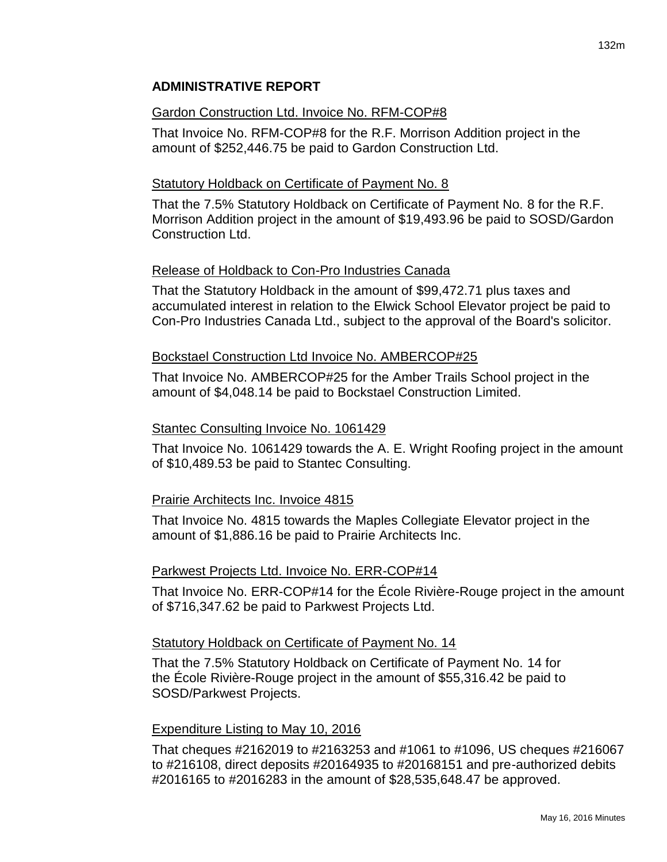#### Gardon Construction Ltd. Invoice No. RFM-COP#8

That Invoice No. RFM-COP#8 for the R.F. Morrison Addition project in the amount of \$252,446.75 be paid to Gardon Construction Ltd.

#### Statutory Holdback on Certificate of Payment No. 8

That the 7.5% Statutory Holdback on Certificate of Payment No. 8 for the R.F. Morrison Addition project in the amount of \$19,493.96 be paid to SOSD/Gardon Construction Ltd.

#### Release of Holdback to Con-Pro Industries Canada

That the Statutory Holdback in the amount of \$99,472.71 plus taxes and accumulated interest in relation to the Elwick School Elevator project be paid to Con-Pro Industries Canada Ltd., subject to the approval of the Board's solicitor.

#### Bockstael Construction Ltd Invoice No. AMBERCOP#25

That Invoice No. AMBERCOP#25 for the Amber Trails School project in the amount of \$4,048.14 be paid to Bockstael Construction Limited.

#### Stantec Consulting Invoice No. 1061429

That Invoice No. 1061429 towards the A. E. Wright Roofing project in the amount of \$10,489.53 be paid to Stantec Consulting.

#### Prairie Architects Inc. Invoice 4815

That Invoice No. 4815 towards the Maples Collegiate Elevator project in the amount of \$1,886.16 be paid to Prairie Architects Inc.

#### Parkwest Projects Ltd. Invoice No. ERR-COP#14

That Invoice No. ERR-COP#14 for the École Rivière-Rouge project in the amount of \$716,347.62 be paid to Parkwest Projects Ltd.

#### Statutory Holdback on Certificate of Payment No. 14

That the 7.5% Statutory Holdback on Certificate of Payment No. 14 for the École Rivière-Rouge project in the amount of \$55,316.42 be paid to SOSD/Parkwest Projects.

#### Expenditure Listing to May 10, 2016

That cheques #2162019 to #2163253 and #1061 to #1096, US cheques #216067 to #216108, direct deposits #20164935 to #20168151 and pre-authorized debits #2016165 to #2016283 in the amount of \$28,535,648.47 be approved.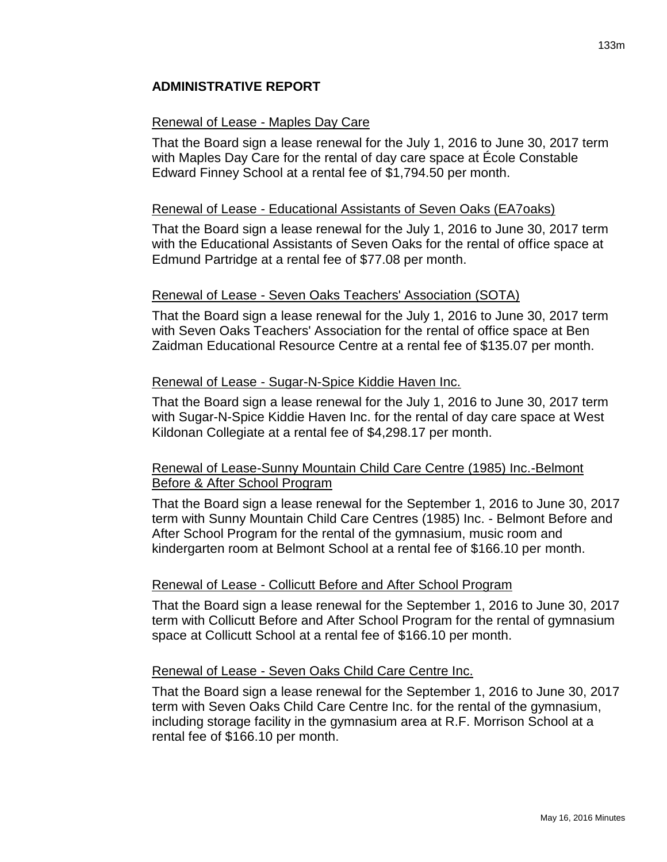### Renewal of Lease - Maples Day Care

That the Board sign a lease renewal for the July 1, 2016 to June 30, 2017 term with Maples Day Care for the rental of day care space at École Constable Edward Finney School at a rental fee of \$1,794.50 per month.

#### Renewal of Lease - Educational Assistants of Seven Oaks (EA7oaks)

That the Board sign a lease renewal for the July 1, 2016 to June 30, 2017 term with the Educational Assistants of Seven Oaks for the rental of office space at Edmund Partridge at a rental fee of \$77.08 per month.

#### Renewal of Lease - Seven Oaks Teachers' Association (SOTA)

That the Board sign a lease renewal for the July 1, 2016 to June 30, 2017 term with Seven Oaks Teachers' Association for the rental of office space at Ben Zaidman Educational Resource Centre at a rental fee of \$135.07 per month.

#### Renewal of Lease - Sugar-N-Spice Kiddie Haven Inc.

That the Board sign a lease renewal for the July 1, 2016 to June 30, 2017 term with Sugar-N-Spice Kiddie Haven Inc. for the rental of day care space at West Kildonan Collegiate at a rental fee of \$4,298.17 per month.

## Renewal of Lease-Sunny Mountain Child Care Centre (1985) Inc.-Belmont Before & After School Program

That the Board sign a lease renewal for the September 1, 2016 to June 30, 2017 term with Sunny Mountain Child Care Centres (1985) Inc. - Belmont Before and After School Program for the rental of the gymnasium, music room and kindergarten room at Belmont School at a rental fee of \$166.10 per month.

#### Renewal of Lease - Collicutt Before and After School Program

That the Board sign a lease renewal for the September 1, 2016 to June 30, 2017 term with Collicutt Before and After School Program for the rental of gymnasium space at Collicutt School at a rental fee of \$166.10 per month.

### Renewal of Lease - Seven Oaks Child Care Centre Inc.

That the Board sign a lease renewal for the September 1, 2016 to June 30, 2017 term with Seven Oaks Child Care Centre Inc. for the rental of the gymnasium, including storage facility in the gymnasium area at R.F. Morrison School at a rental fee of \$166.10 per month.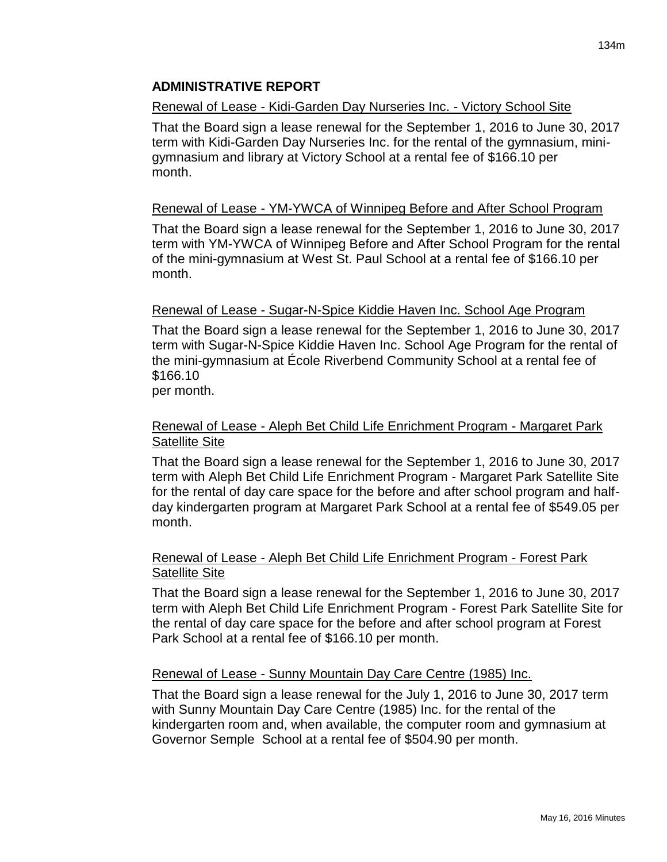# Renewal of Lease - Kidi-Garden Day Nurseries Inc. - Victory School Site

That the Board sign a lease renewal for the September 1, 2016 to June 30, 2017 term with Kidi-Garden Day Nurseries Inc. for the rental of the gymnasium, minigymnasium and library at Victory School at a rental fee of \$166.10 per month.

# Renewal of Lease - YM-YWCA of Winnipeg Before and After School Program

That the Board sign a lease renewal for the September 1, 2016 to June 30, 2017 term with YM-YWCA of Winnipeg Before and After School Program for the rental of the mini-gymnasium at West St. Paul School at a rental fee of \$166.10 per month.

# Renewal of Lease - Sugar-N-Spice Kiddie Haven Inc. School Age Program

That the Board sign a lease renewal for the September 1, 2016 to June 30, 2017 term with Sugar-N-Spice Kiddie Haven Inc. School Age Program for the rental of the mini-gymnasium at École Riverbend Community School at a rental fee of \$166.10

per month.

# Renewal of Lease - Aleph Bet Child Life Enrichment Program - Margaret Park Satellite Site

That the Board sign a lease renewal for the September 1, 2016 to June 30, 2017 term with Aleph Bet Child Life Enrichment Program - Margaret Park Satellite Site for the rental of day care space for the before and after school program and halfday kindergarten program at Margaret Park School at a rental fee of \$549.05 per month.

# Renewal of Lease - Aleph Bet Child Life Enrichment Program - Forest Park Satellite Site

That the Board sign a lease renewal for the September 1, 2016 to June 30, 2017 term with Aleph Bet Child Life Enrichment Program - Forest Park Satellite Site for the rental of day care space for the before and after school program at Forest Park School at a rental fee of \$166.10 per month.

## Renewal of Lease - Sunny Mountain Day Care Centre (1985) Inc.

That the Board sign a lease renewal for the July 1, 2016 to June 30, 2017 term with Sunny Mountain Day Care Centre (1985) Inc. for the rental of the kindergarten room and, when available, the computer room and gymnasium at Governor Semple School at a rental fee of \$504.90 per month.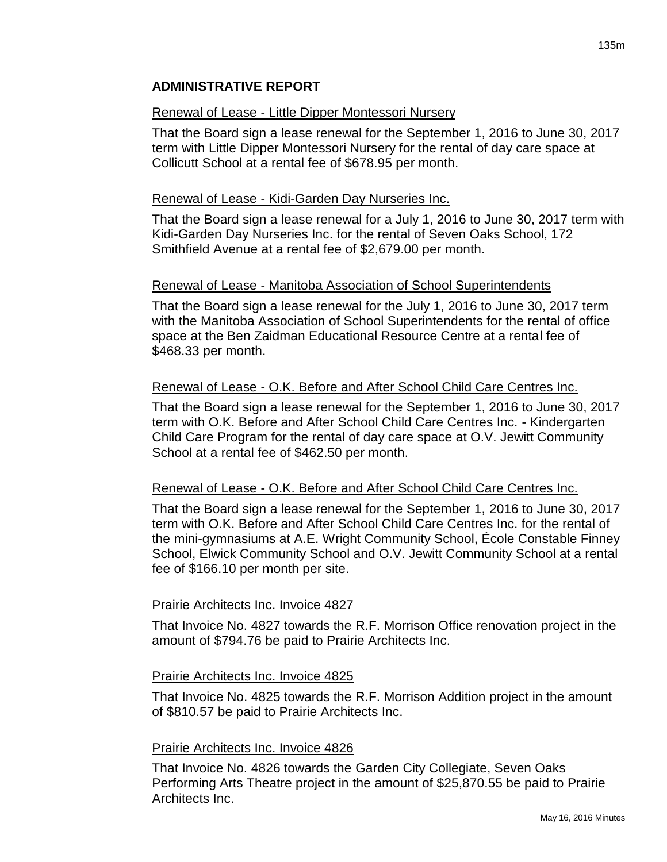#### Renewal of Lease - Little Dipper Montessori Nursery

That the Board sign a lease renewal for the September 1, 2016 to June 30, 2017 term with Little Dipper Montessori Nursery for the rental of day care space at Collicutt School at a rental fee of \$678.95 per month.

#### Renewal of Lease - Kidi-Garden Day Nurseries Inc.

That the Board sign a lease renewal for a July 1, 2016 to June 30, 2017 term with Kidi-Garden Day Nurseries Inc. for the rental of Seven Oaks School, 172 Smithfield Avenue at a rental fee of \$2,679.00 per month.

### Renewal of Lease - Manitoba Association of School Superintendents

That the Board sign a lease renewal for the July 1, 2016 to June 30, 2017 term with the Manitoba Association of School Superintendents for the rental of office space at the Ben Zaidman Educational Resource Centre at a rental fee of \$468.33 per month.

### Renewal of Lease - O.K. Before and After School Child Care Centres Inc.

That the Board sign a lease renewal for the September 1, 2016 to June 30, 2017 term with O.K. Before and After School Child Care Centres Inc. - Kindergarten Child Care Program for the rental of day care space at O.V. Jewitt Community School at a rental fee of \$462.50 per month.

#### Renewal of Lease - O.K. Before and After School Child Care Centres Inc.

That the Board sign a lease renewal for the September 1, 2016 to June 30, 2017 term with O.K. Before and After School Child Care Centres Inc. for the rental of the mini-gymnasiums at A.E. Wright Community School, École Constable Finney School, Elwick Community School and O.V. Jewitt Community School at a rental fee of \$166.10 per month per site.

## Prairie Architects Inc. Invoice 4827

That Invoice No. 4827 towards the R.F. Morrison Office renovation project in the amount of \$794.76 be paid to Prairie Architects Inc.

#### Prairie Architects Inc. Invoice 4825

That Invoice No. 4825 towards the R.F. Morrison Addition project in the amount of \$810.57 be paid to Prairie Architects Inc.

#### Prairie Architects Inc. Invoice 4826

That Invoice No. 4826 towards the Garden City Collegiate, Seven Oaks Performing Arts Theatre project in the amount of \$25,870.55 be paid to Prairie Architects Inc.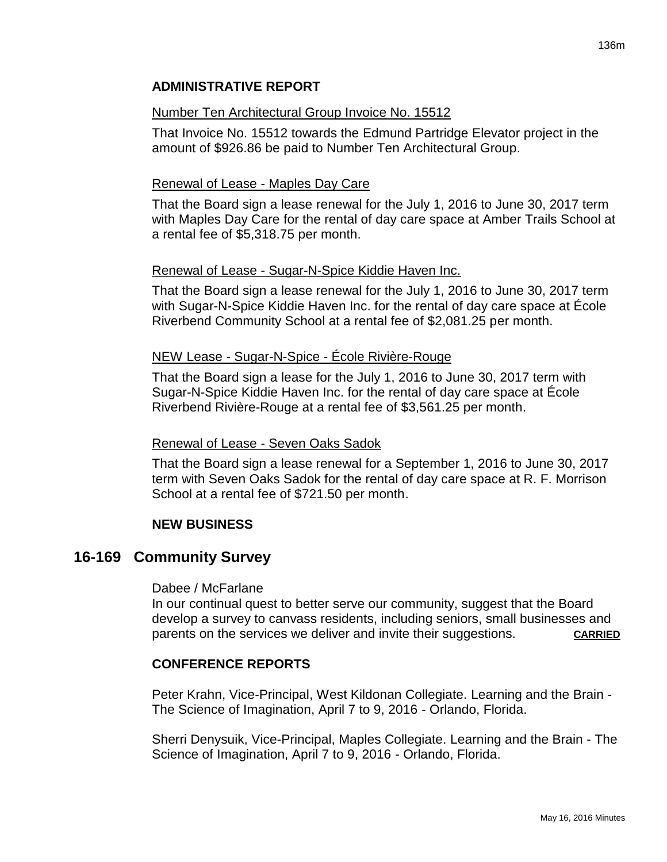# Number Ten Architectural Group Invoice No. 15512

That Invoice No. 15512 towards the Edmund Partridge Elevator project in the amount of \$926.86 be paid to Number Ten Architectural Group.

# Renewal of Lease - Maples Day Care

That the Board sign a lease renewal for the July 1, 2016 to June 30, 2017 term with Maples Day Care for the rental of day care space at Amber Trails School at a rental fee of \$5,318.75 per month.

## Renewal of Lease - Sugar-N-Spice Kiddie Haven Inc.

That the Board sign a lease renewal for the July 1, 2016 to June 30, 2017 term with Sugar-N-Spice Kiddie Haven Inc. for the rental of day care space at École Riverbend Community School at a rental fee of \$2,081.25 per month.

## NEW Lease - Sugar-N-Spice - École Rivière-Rouge

That the Board sign a lease for the July 1, 2016 to June 30, 2017 term with Sugar-N-Spice Kiddie Haven Inc. for the rental of day care space at École Riverbend Rivière-Rouge at a rental fee of \$3,561.25 per month.

## Renewal of Lease - Seven Oaks Sadok

That the Board sign a lease renewal for a September 1, 2016 to June 30, 2017 term with Seven Oaks Sadok for the rental of day care space at R. F. Morrison School at a rental fee of \$721.50 per month.

## **NEW BUSINESS**

# **16-169 Community Survey**

### Dabee / McFarlane

In our continual quest to better serve our community, suggest that the Board develop a survey to canvass residents, including seniors, small businesses and parents on the services we deliver and invite their suggestions. CARRIED

# **CONFERENCE REPORTS**

Peter Krahn, Vice-Principal, West Kildonan Collegiate. Learning and the Brain - The Science of Imagination, April 7 to 9, 2016 - Orlando, Florida.

Sherri Denysuik, Vice-Principal, Maples Collegiate. Learning and the Brain - The Science of Imagination, April 7 to 9, 2016 - Orlando, Florida.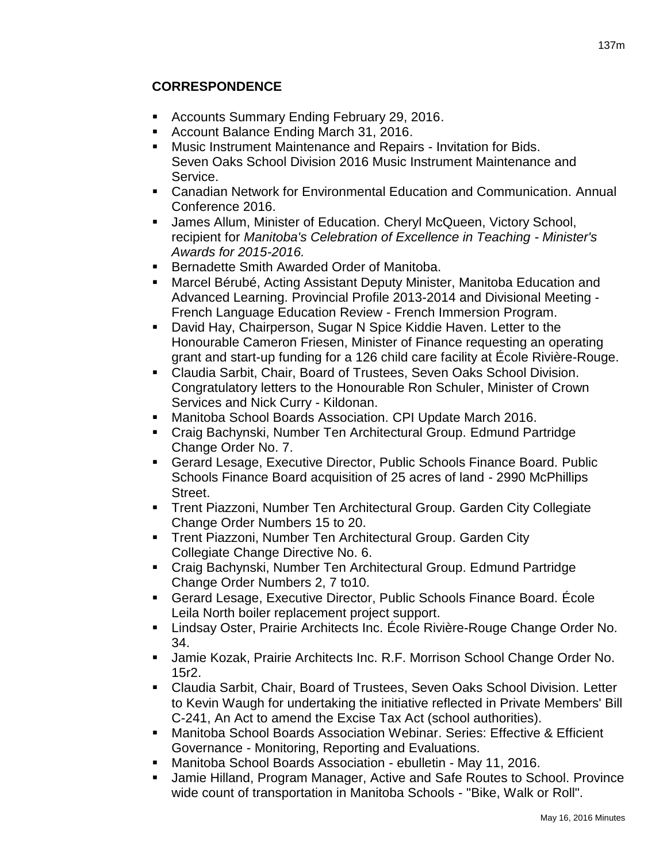# **CORRESPONDENCE**

- **Accounts Summary Ending February 29, 2016.**
- **Account Balance Ending March 31, 2016.**
- Music Instrument Maintenance and Repairs Invitation for Bids. Seven Oaks School Division 2016 Music Instrument Maintenance and Service.
- Canadian Network for Environmental Education and Communication. Annual Conference 2016.
- James Allum, Minister of Education. Cheryl McQueen, Victory School, recipient for *Manitoba's Celebration of Excellence in Teaching - Minister's Awards for 2015-2016.*
- Bernadette Smith Awarded Order of Manitoba.
- Marcel Bérubé, Acting Assistant Deputy Minister, Manitoba Education and Advanced Learning. Provincial Profile 2013-2014 and Divisional Meeting - French Language Education Review - French Immersion Program.
- David Hay, Chairperson, Sugar N Spice Kiddie Haven. Letter to the Honourable Cameron Friesen, Minister of Finance requesting an operating grant and start-up funding for a 126 child care facility at École Rivière-Rouge.
- Claudia Sarbit, Chair, Board of Trustees, Seven Oaks School Division. Congratulatory letters to the Honourable Ron Schuler, Minister of Crown Services and Nick Curry - Kildonan.
- Manitoba School Boards Association. CPI Update March 2016.
- Craig Bachynski, Number Ten Architectural Group. Edmund Partridge Change Order No. 7.
- Gerard Lesage, Executive Director, Public Schools Finance Board. Public Schools Finance Board acquisition of 25 acres of land - 2990 McPhillips Street.
- **Trent Piazzoni, Number Ten Architectural Group. Garden City Collegiate** Change Order Numbers 15 to 20.
- **Trent Piazzoni, Number Ten Architectural Group. Garden City** Collegiate Change Directive No. 6.
- Craig Bachynski, Number Ten Architectural Group. Edmund Partridge Change Order Numbers 2, 7 to10.
- Gerard Lesage, Executive Director, Public Schools Finance Board. École Leila North boiler replacement project support.
- Lindsay Oster, Prairie Architects Inc. École Rivière-Rouge Change Order No. 34.
- **Jamie Kozak, Prairie Architects Inc. R.F. Morrison School Change Order No.** 15r2.
- Claudia Sarbit, Chair, Board of Trustees, Seven Oaks School Division. Letter to Kevin Waugh for undertaking the initiative reflected in Private Members' Bill C-241, An Act to amend the Excise Tax Act (school authorities).
- Manitoba School Boards Association Webinar. Series: Effective & Efficient Governance - Monitoring, Reporting and Evaluations.
- Manitoba School Boards Association ebulletin May 11, 2016.
- Jamie Hilland, Program Manager, Active and Safe Routes to School. Province wide count of transportation in Manitoba Schools - "Bike, Walk or Roll".